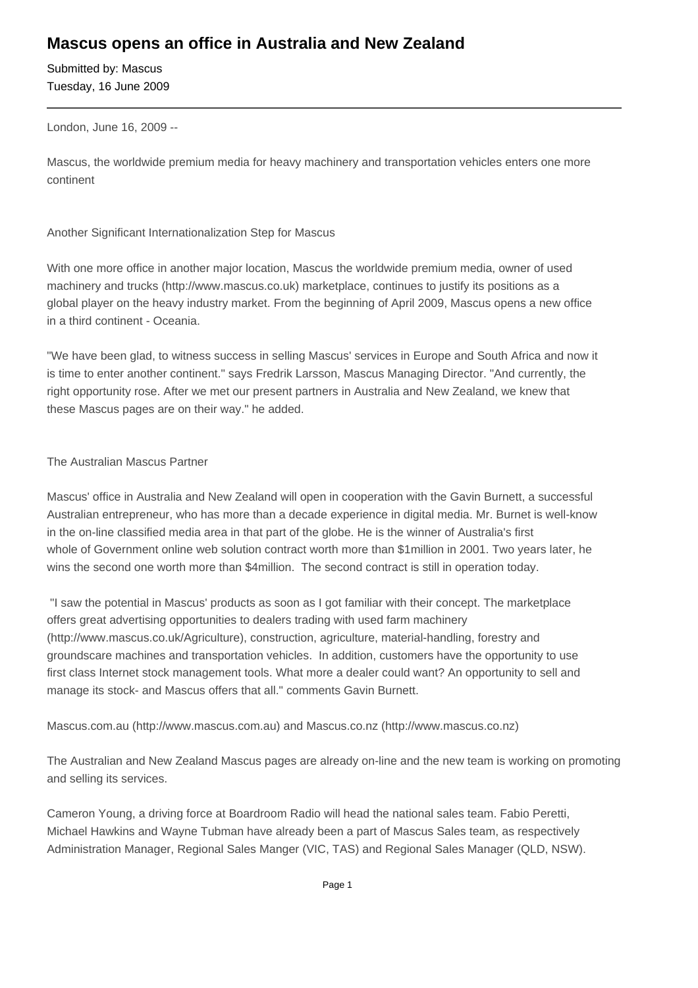## **Mascus opens an office in Australia and New Zealand**

Submitted by: Mascus Tuesday, 16 June 2009

London, June 16, 2009 --

Mascus, the worldwide premium media for heavy machinery and transportation vehicles enters one more continent

Another Significant Internationalization Step for Mascus

With one more office in another major location, Mascus the worldwide premium media, owner of used machinery and trucks (http://www.mascus.co.uk) marketplace, continues to justify its positions as a global player on the heavy industry market. From the beginning of April 2009, Mascus opens a new office in a third continent - Oceania.

"We have been glad, to witness success in selling Mascus' services in Europe and South Africa and now it is time to enter another continent." says Fredrik Larsson, Mascus Managing Director. "And currently, the right opportunity rose. After we met our present partners in Australia and New Zealand, we knew that these Mascus pages are on their way." he added.

## The Australian Mascus Partner

Mascus' office in Australia and New Zealand will open in cooperation with the Gavin Burnett, a successful Australian entrepreneur, who has more than a decade experience in digital media. Mr. Burnet is well-know in the on-line classified media area in that part of the globe. He is the winner of Australia's first whole of Government online web solution contract worth more than \$1million in 2001. Two years later, he wins the second one worth more than \$4million. The second contract is still in operation today.

 "I saw the potential in Mascus' products as soon as I got familiar with their concept. The marketplace offers great advertising opportunities to dealers trading with used farm machinery (http://www.mascus.co.uk/Agriculture), construction, agriculture, material-handling, forestry and groundscare machines and transportation vehicles. In addition, customers have the opportunity to use first class Internet stock management tools. What more a dealer could want? An opportunity to sell and manage its stock- and Mascus offers that all." comments Gavin Burnett.

Mascus.com.au (http://www.mascus.com.au) and Mascus.co.nz (http://www.mascus.co.nz)

The Australian and New Zealand Mascus pages are already on-line and the new team is working on promoting and selling its services.

Cameron Young, a driving force at Boardroom Radio will head the national sales team. Fabio Peretti, Michael Hawkins and Wayne Tubman have already been a part of Mascus Sales team, as respectively Administration Manager, Regional Sales Manger (VIC, TAS) and Regional Sales Manager (QLD, NSW).